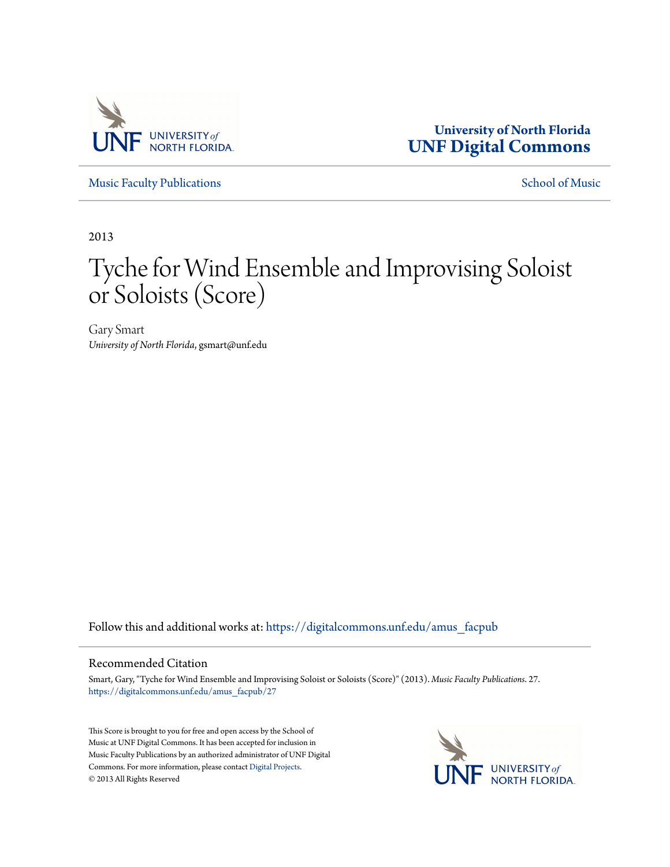

**University of North Florida [UNF Digital Commons](https://digitalcommons.unf.edu?utm_source=digitalcommons.unf.edu%2Famus_facpub%2F27&utm_medium=PDF&utm_campaign=PDFCoverPages)**

[Music Faculty Publications](https://digitalcommons.unf.edu/amus_facpub?utm_source=digitalcommons.unf.edu%2Famus_facpub%2F27&utm_medium=PDF&utm_campaign=PDFCoverPages) [School of Music](https://digitalcommons.unf.edu/amus?utm_source=digitalcommons.unf.edu%2Famus_facpub%2F27&utm_medium=PDF&utm_campaign=PDFCoverPages)

2013

# Tyche for Wind Ensemble and Improvising Soloist or Soloists (Score)

Gary Smart *University of North Florida*, gsmart@unf.edu

Follow this and additional works at: [https://digitalcommons.unf.edu/amus\\_facpub](https://digitalcommons.unf.edu/amus_facpub?utm_source=digitalcommons.unf.edu%2Famus_facpub%2F27&utm_medium=PDF&utm_campaign=PDFCoverPages)

#### Recommended Citation

Smart, Gary, "Tyche for Wind Ensemble and Improvising Soloist or Soloists (Score)" (2013). *Music Faculty Publications*. 27. [https://digitalcommons.unf.edu/amus\\_facpub/27](https://digitalcommons.unf.edu/amus_facpub/27?utm_source=digitalcommons.unf.edu%2Famus_facpub%2F27&utm_medium=PDF&utm_campaign=PDFCoverPages)

This Score is brought to you for free and open access by the School of Music at UNF Digital Commons. It has been accepted for inclusion in Music Faculty Publications by an authorized administrator of UNF Digital Commons. For more information, please contact [Digital Projects](mailto:lib-digital@unf.edu). © 2013 All Rights Reserved

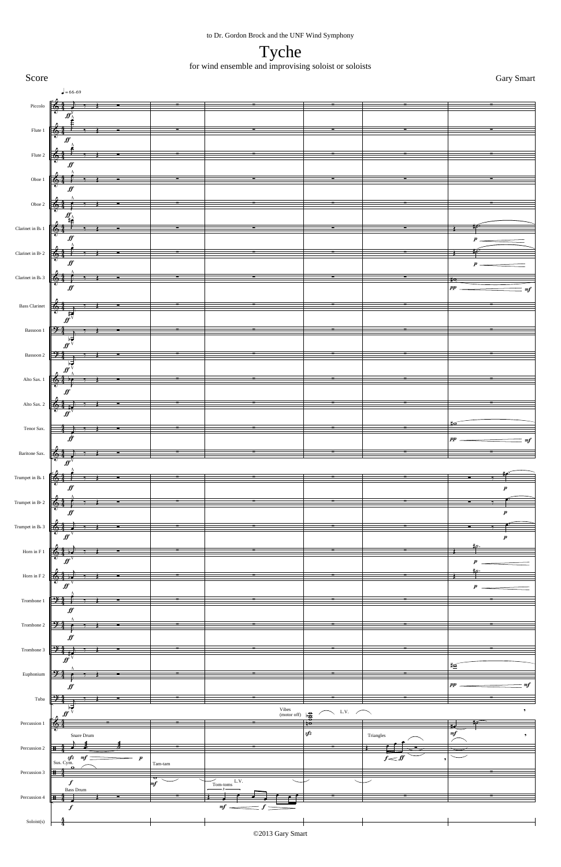

to Dr. Gordon Brock and the UNF Wind Symphony

# Tyche

for wind ensemble and improvising soloist or soloists

Gary Smart

©2013 Gary Smart

Score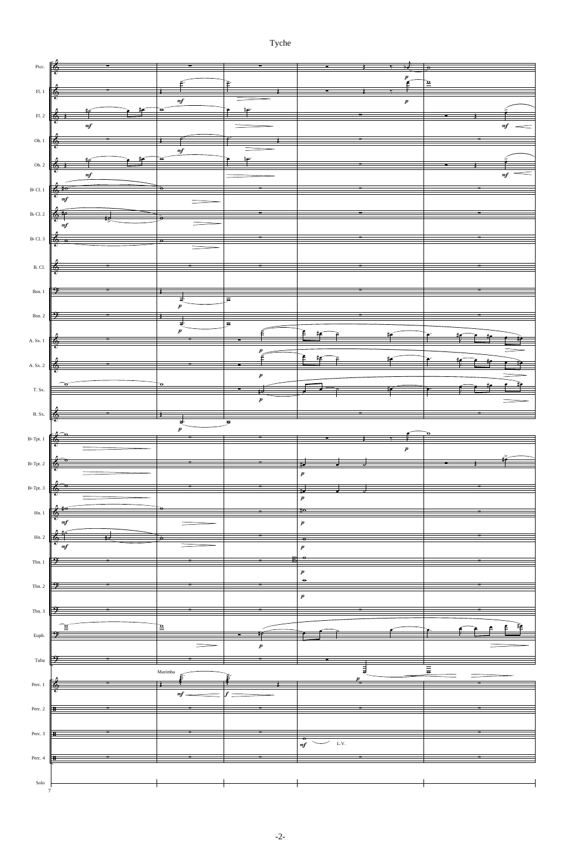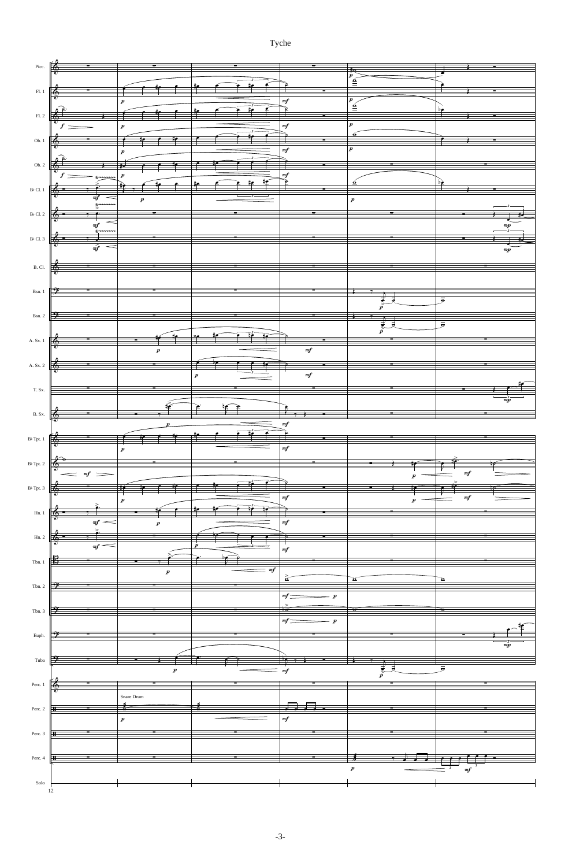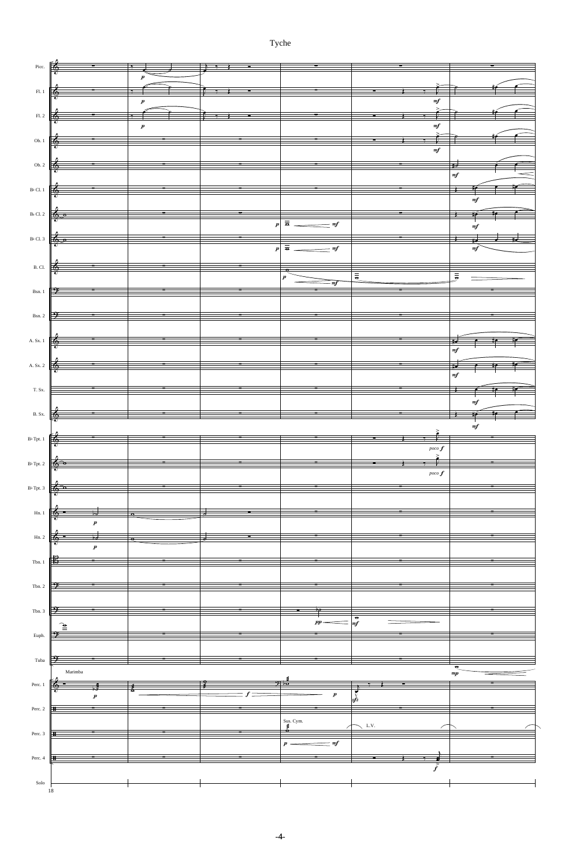![](_page_4_Figure_1.jpeg)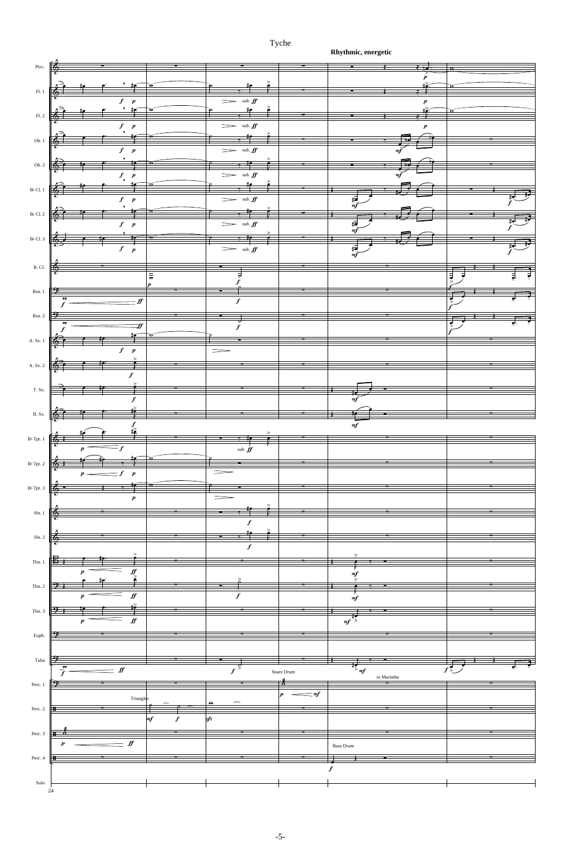![](_page_5_Figure_2.jpeg)

**Rhythmic, energetic**

![](_page_5_Figure_0.jpeg)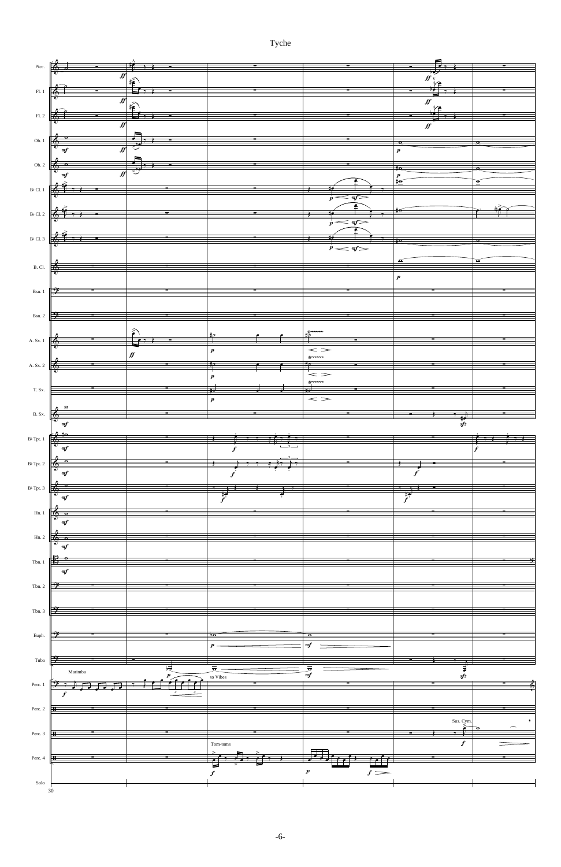![](_page_6_Figure_1.jpeg)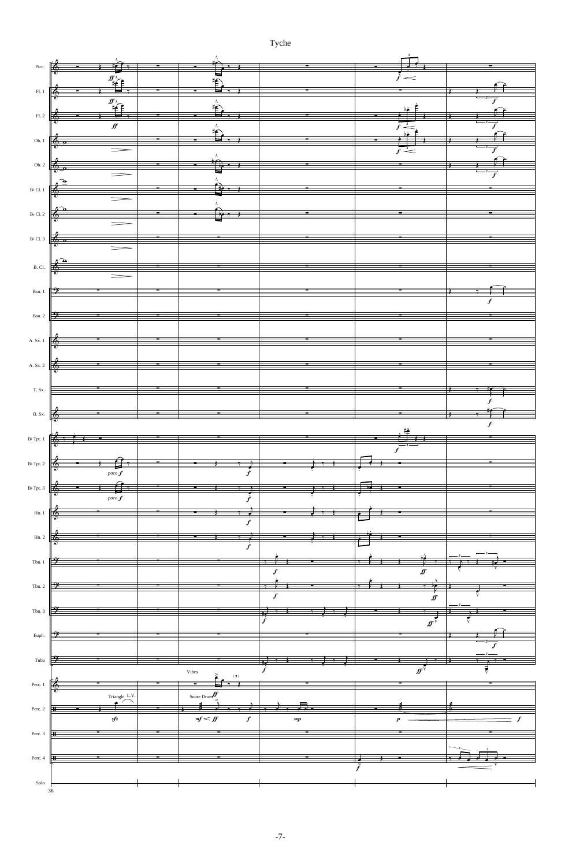![](_page_7_Figure_1.jpeg)

![](_page_7_Figure_0.jpeg)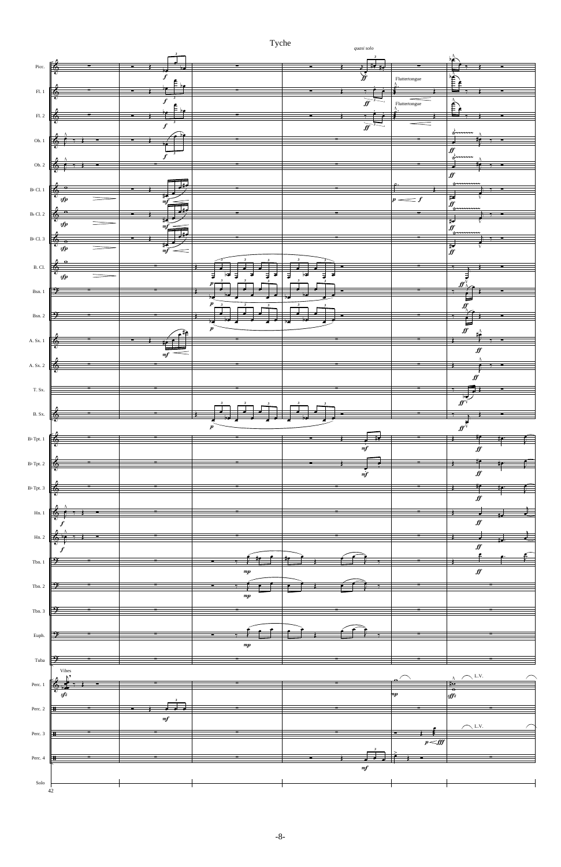![](_page_8_Figure_0.jpeg)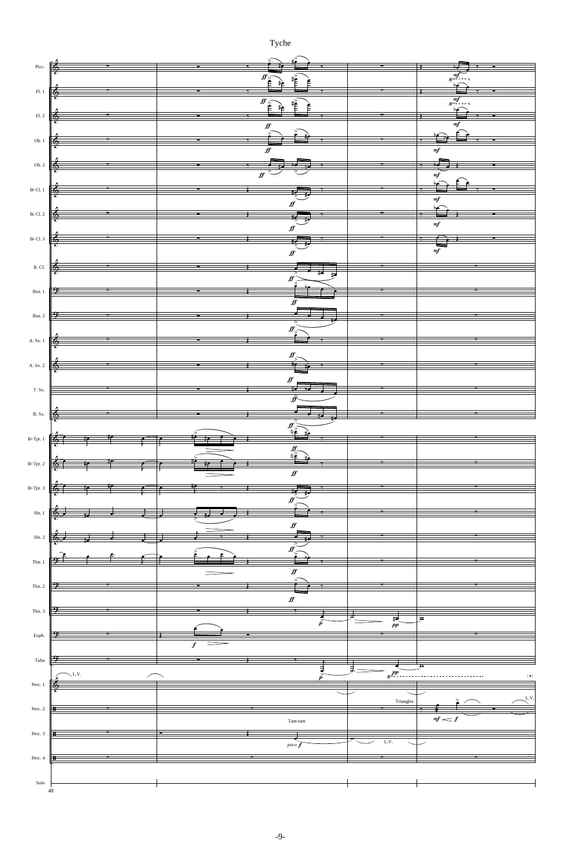![](_page_9_Figure_0.jpeg)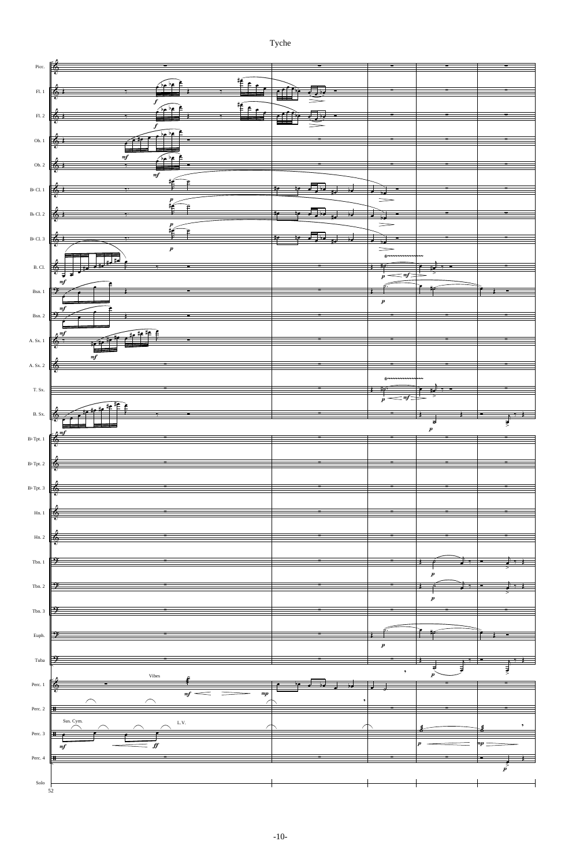![](_page_10_Figure_1.jpeg)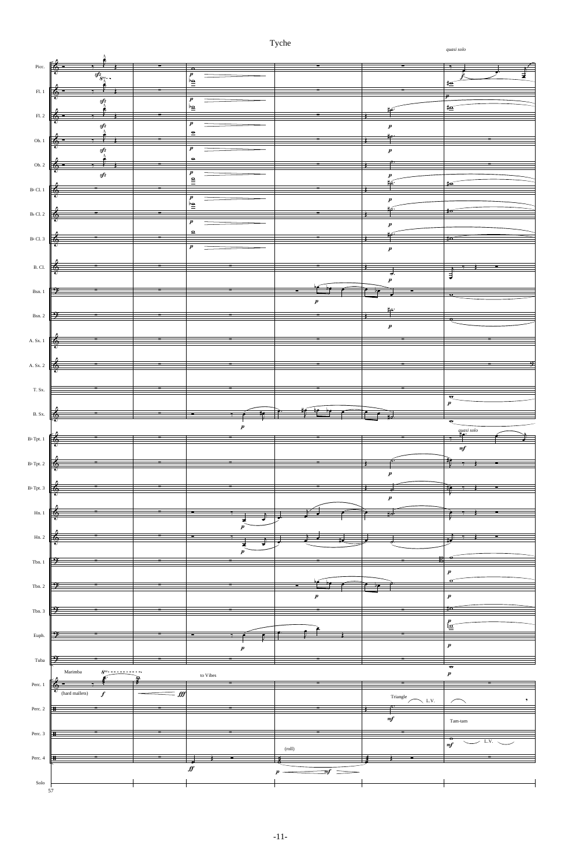![](_page_11_Figure_2.jpeg)

*quasi solo*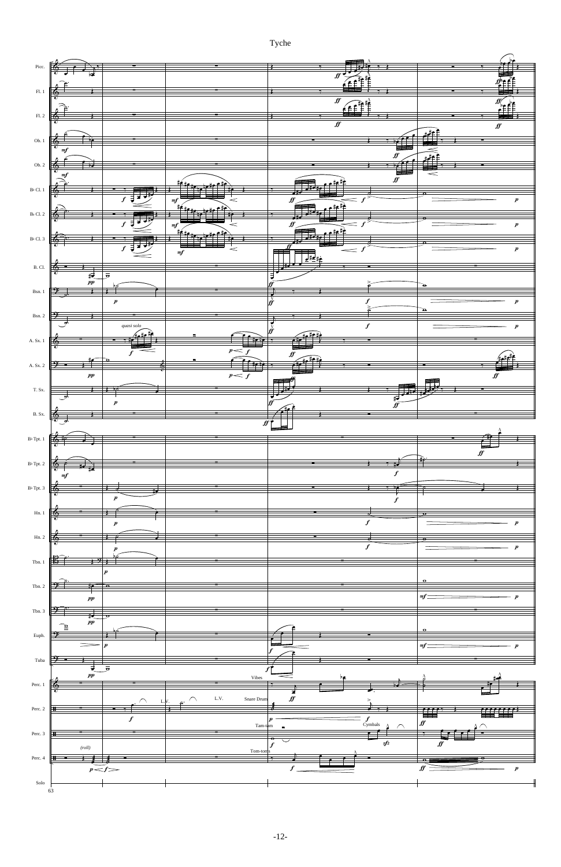![](_page_12_Figure_1.jpeg)

![](_page_12_Figure_0.jpeg)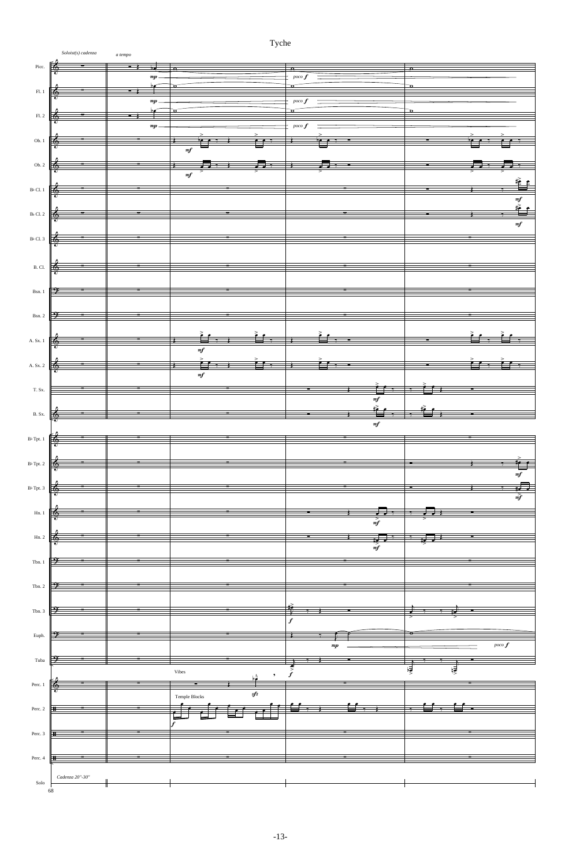Tbn. 3

∑

∑

 $\overline{A}$ œ

#œ  $\frac{1}{2}$ 

![](_page_13_Figure_0.jpeg)

∑

 $\rightarrow$ 

![](_page_13_Figure_2.jpeg)

 $\sharp$ 

f

 $\frac{1}{2}$   $\frac{1}{2}$   $\frac{1}{2}$   $\frac{1}{2}$   $\frac{1}{2}$ 

<sup>&</sup>gt; ‰ ‰ <sup>j</sup>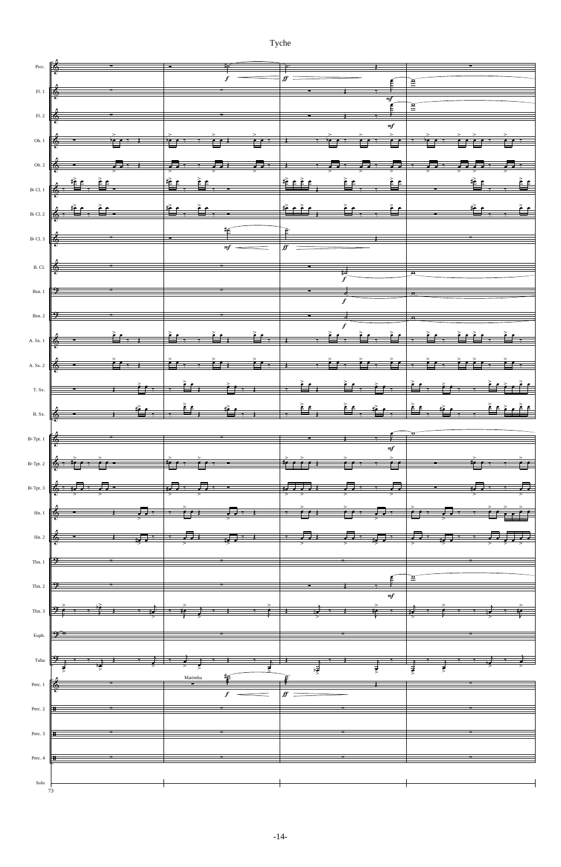![](_page_14_Figure_1.jpeg)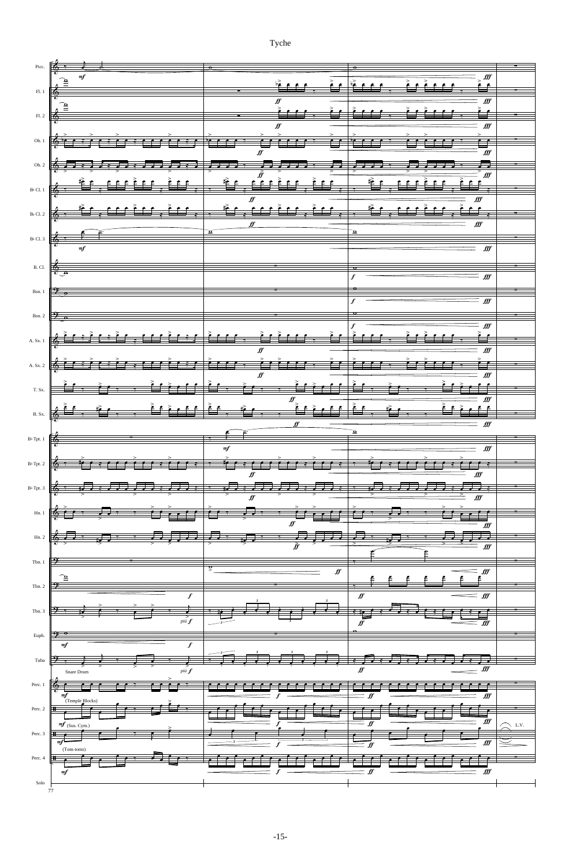![](_page_15_Figure_0.jpeg)

![](_page_15_Figure_2.jpeg)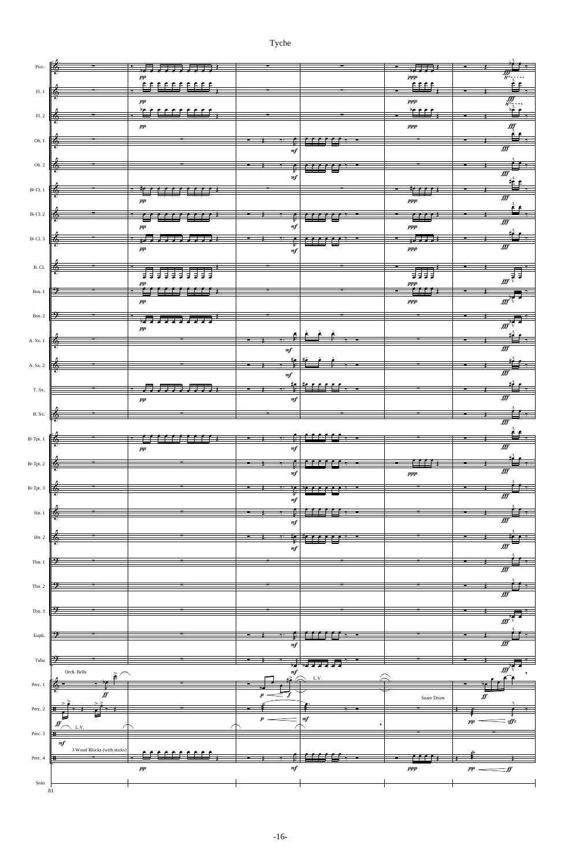![](_page_16_Figure_2.jpeg)

| Picc.                                    | Е¢                                                     |                                                          |                                       |              |                                                  | $\sim$                                                                                                                                                                                                                                                                                                                                                                                                                |
|------------------------------------------|--------------------------------------------------------|----------------------------------------------------------|---------------------------------------|--------------|--------------------------------------------------|-----------------------------------------------------------------------------------------------------------------------------------------------------------------------------------------------------------------------------------------------------------------------------------------------------------------------------------------------------------------------------------------------------------------------|
|                                          |                                                        | $\boldsymbol{pp}$                                        |                                       |              | $\boldsymbol{ppp}$                               | $\frac{1}{\sqrt{1-\frac{1}{1-\frac{1}{1-\frac{1}{1-\frac{1}{1-\frac{1}{1-\frac{1}{1-\frac{1}{1-\frac{1}{1-\frac{1}{1-\frac{1}{1-\frac{1}{1-\frac{1}{1-\frac{1}{1-\frac{1}{1-\frac{1}{1-\frac{1}{1-\frac{1}{1-\frac{1}{1-\frac{1}{1-\frac{1}{1-\frac{1}{1-\frac{1}{1-\frac{1}{1-\frac{1}{1-\frac{1}{1-\frac{1}{1-\frac{1}{1-\frac{1}{1-\frac{1}{1-\frac{1}{1-\frac{1}{1-\frac{1}{1-\frac{1}{1-\frac{1}{1-\frac{1}{1-\$ |
| $\rm Fl.$ $1$                            | $\bm{\bm{\phi}}$                                       | $E \triangle E$                                          |                                       |              | $F$ $F$ $F$                                      | f                                                                                                                                                                                                                                                                                                                                                                                                                     |
|                                          | ℯ                                                      | $\boldsymbol{pp}$                                        |                                       |              | $\boldsymbol{ppp}$<br>$rac{1}{\sqrt{2}}$         | $\begin{array}{c}\n\overline{\textbf{f}\textbf{f}\textbf{f}}\\ \n\overline{\textbf{s}}^{\text{pa}}_{\text{BA}}\\ \overline{\textbf{s}}^{\text{ba}}_{\text{BA}}\textbf{f}\textbf{f}}\n\end{array}$                                                                                                                                                                                                                     |
| F1.2                                     | <br>$\overline{\bullet}$                               | $\frac{1}{\sqrt{2}}$                                     |                                       |              |                                                  |                                                                                                                                                                                                                                                                                                                                                                                                                       |
|                                          |                                                        | $\boldsymbol{pp}$                                        |                                       |              | $\boldsymbol{ppp}$                               | $f\hspace{-0.1cm}f\hspace{-0.1cm}f$                                                                                                                                                                                                                                                                                                                                                                                   |
| Ob. $\boldsymbol{1}$                     | Œ<br>$\bullet$                                         |                                                          | m f                                   |              |                                                  | $f\!f\!f$                                                                                                                                                                                                                                                                                                                                                                                                             |
| Ob. $2$                                  | ⊕                                                      |                                                          |                                       |              |                                                  |                                                                                                                                                                                                                                                                                                                                                                                                                       |
|                                          |                                                        |                                                          | mf                                    |              |                                                  | $\overline{f\hspace{-.1em}f\hspace{-.1em}f\hspace{-.1em}f}$                                                                                                                                                                                                                                                                                                                                                           |
| $\rm B\!\!\flat$ Cl. 1                   | Ģ                                                      |                                                          |                                       |              | $\ast \bullet \bullet \bullet \ast$              | $\overline{f\hspace{-0.1cm}f\hspace{-0.1cm}f}$                                                                                                                                                                                                                                                                                                                                                                        |
|                                          |                                                        | $\boldsymbol{pp}$                                        |                                       |              | ppp                                              |                                                                                                                                                                                                                                                                                                                                                                                                                       |
| $\rm B\!\flat$ Cl. 2                     | $\circ$                                                | $\boldsymbol{pp}$                                        | mf                                    |              | $\Box$<br>$\boldsymbol{ppp}$                     | $\overline{f\hspace{-.1em}f\hspace{-.1em}f\hspace{-.1em}f}$                                                                                                                                                                                                                                                                                                                                                           |
| $\rm B \flat$ Cl. 3                      |                                                        | t.                                                       |                                       |              | $\overline{1}$ , $\overline{1}$ , $\overline{1}$ |                                                                                                                                                                                                                                                                                                                                                                                                                       |
|                                          | $\bigcirc$                                             | $\boldsymbol{pp}$                                        | D<br>mf                               |              | $\boldsymbol{ppp}$                               | $f\hspace{-0.1cm}f\hspace{-0.1cm}f$                                                                                                                                                                                                                                                                                                                                                                                   |
| $\, {\bf B} . \, {\bf Cl} . \,$          |                                                        |                                                          |                                       |              |                                                  |                                                                                                                                                                                                                                                                                                                                                                                                                       |
|                                          | ⊕                                                      | 77 77 77 77 7                                            |                                       |              | 蘋蘋                                               | $\begin{array}{c}\n\hline\n\end{array}\n\begin{array}{c}\n\hline\n\end{array}\n\end{array}$                                                                                                                                                                                                                                                                                                                           |
| <b>Bsn.</b> 1                            | .,                                                     | $\frac{pp}{\sqrt{2}}$                                    |                                       |              | $\frac{pp}{\pm}$                                 | $\overline{y}$                                                                                                                                                                                                                                                                                                                                                                                                        |
|                                          |                                                        | $\boldsymbol{pp}$                                        |                                       |              | ppp                                              |                                                                                                                                                                                                                                                                                                                                                                                                                       |
| Bsn. $2\,$                               | ⇒                                                      | $\overline{a}$<br>$\overline{\cdot}$<br>↲<br>↴<br>◢<br>↴ |                                       |              |                                                  | $\overrightarrow{xx}$ .                                                                                                                                                                                                                                                                                                                                                                                               |
| A. Sx. $1$                               |                                                        | pp                                                       | A                                     |              |                                                  |                                                                                                                                                                                                                                                                                                                                                                                                                       |
|                                          | <b>√∮</b>                                              |                                                          | $\it mf$                              |              |                                                  | $\overline{f\hspace{-.1em}f\hspace{-.1em}f\hspace{-.1em}f}$                                                                                                                                                                                                                                                                                                                                                           |
| A. Sx. 2                                 | জ                                                      |                                                          | L                                     |              |                                                  | ≝                                                                                                                                                                                                                                                                                                                                                                                                                     |
|                                          |                                                        |                                                          | $\it mf$                              |              |                                                  | £€                                                                                                                                                                                                                                                                                                                                                                                                                    |
| T. Sx.                                   |                                                        | $\pmb{pp}$                                               | $m\!f$                                |              |                                                  | $\overline{f\hspace{-.1em}f\hspace{-.1em}f\hspace{-.1em}f}$                                                                                                                                                                                                                                                                                                                                                           |
| $\mathbf{B}.\ \mathbf{S}\mathbf{x}.$     |                                                        |                                                          |                                       |              |                                                  |                                                                                                                                                                                                                                                                                                                                                                                                                       |
|                                          |                                                        |                                                          |                                       |              |                                                  | $\overline{f\hspace{-.1em}f\hspace{-.1em}f\hspace{-.1em}f}$                                                                                                                                                                                                                                                                                                                                                           |
| $\rm B\!\flat$ Tpt. $1$                  | $\bigcirc$                                             |                                                          |                                       |              |                                                  |                                                                                                                                                                                                                                                                                                                                                                                                                       |
|                                          |                                                        | $\boldsymbol{pp}$                                        | m f                                   |              |                                                  | $\overline{f\hspace{-0.1cm}f\hspace{-0.1cm}f}$                                                                                                                                                                                                                                                                                                                                                                        |
| $\rm B\ensuremath{\,\dot{\rm F}}$ Tpt. 2 | ⊚                                                      |                                                          | m f                                   |              | ppp                                              | $\overline{f\hspace{-.1em}f\hspace{-.1em}f\hspace{-.1em}f}$                                                                                                                                                                                                                                                                                                                                                           |
| $\rm B\!\flat$ Tpt. $3$                  |                                                        |                                                          | $\frac{1}{\sqrt{2}}$                  |              |                                                  |                                                                                                                                                                                                                                                                                                                                                                                                                       |
|                                          | ⊕                                                      |                                                          | $m$ f                                 |              |                                                  | $\overline{\mathit{fff}}$                                                                                                                                                                                                                                                                                                                                                                                             |
| Hn.1                                     | Ģ                                                      |                                                          |                                       |              |                                                  |                                                                                                                                                                                                                                                                                                                                                                                                                       |
|                                          |                                                        |                                                          | $m$ f                                 |              |                                                  | $\overline{f\hspace{-.1em}f\hspace{-.1em}f\hspace{-.1em}f}$                                                                                                                                                                                                                                                                                                                                                           |
| Hn. 2                                    | $\bullet$                                              |                                                          | 10                                    |              |                                                  | $\overline{f\mathcal{F}}$                                                                                                                                                                                                                                                                                                                                                                                             |
| Tbn. 1                                   |                                                        |                                                          | m f                                   |              |                                                  |                                                                                                                                                                                                                                                                                                                                                                                                                       |
|                                          |                                                        |                                                          |                                       |              |                                                  | $\overline{\mathit{ff}}$                                                                                                                                                                                                                                                                                                                                                                                              |
| Tbn. $2$                                 |                                                        |                                                          |                                       |              |                                                  |                                                                                                                                                                                                                                                                                                                                                                                                                       |
|                                          |                                                        |                                                          |                                       |              |                                                  | $\overline{f\hspace{-.1em}f\hspace{-.1em}f\hspace{-.1em}f}$                                                                                                                                                                                                                                                                                                                                                           |
| Tbn. $3$                                 | Ð.                                                     |                                                          |                                       |              |                                                  | $\frac{1}{\sin^2 x}$                                                                                                                                                                                                                                                                                                                                                                                                  |
|                                          |                                                        |                                                          |                                       |              |                                                  |                                                                                                                                                                                                                                                                                                                                                                                                                       |
| Euph. $\,$                               |                                                        |                                                          | m f                                   |              |                                                  | $\overline{f\hspace{-0.1cm}f\hspace{-0.1cm}f}$                                                                                                                                                                                                                                                                                                                                                                        |
| Tuba                                     |                                                        |                                                          |                                       |              |                                                  |                                                                                                                                                                                                                                                                                                                                                                                                                       |
|                                          | Orch. Bells                                            |                                                          | $\overrightarrow{b}$<br>$\mathcal{L}$ | L.V.         |                                                  | $\overline{\mathbf{\mathbf{\mathcal{B}}}}$                                                                                                                                                                                                                                                                                                                                                                            |
| Perc. $1$                                | Ѭ<br>ಲ                                                 |                                                          |                                       |              |                                                  | ं                                                                                                                                                                                                                                                                                                                                                                                                                     |
|                                          | $f\hspace{-0.1cm}f$                                    |                                                          | p                                     |              | Snare Drum                                       | f f                                                                                                                                                                                                                                                                                                                                                                                                                   |
| Perc. 2                                  |                                                        |                                                          | $p \equiv$<br>$\equiv$                | $\mathbf{f}$ |                                                  | sffz<br>$\boldsymbol{pp}$                                                                                                                                                                                                                                                                                                                                                                                             |
| Perc. 3                                  | $f\hspace{-0.1cm}f$<br>$\mathbf{L}.\mathbf{V}$ .<br>ĦЕ |                                                          |                                       |              |                                                  |                                                                                                                                                                                                                                                                                                                                                                                                                       |
|                                          | $m\!f$<br>3 Wood Blocks (with sticks)                  |                                                          |                                       |              |                                                  |                                                                                                                                                                                                                                                                                                                                                                                                                       |
| Perc. 4                                  | 匨                                                      |                                                          |                                       |              | $\overline{\phantom{a}}$                         | €                                                                                                                                                                                                                                                                                                                                                                                                                     |
|                                          |                                                        | $\pmb{pp}$                                               | $\it mf$                              |              | $\boldsymbol{ppp}$                               | $pp \equiv ff$                                                                                                                                                                                                                                                                                                                                                                                                        |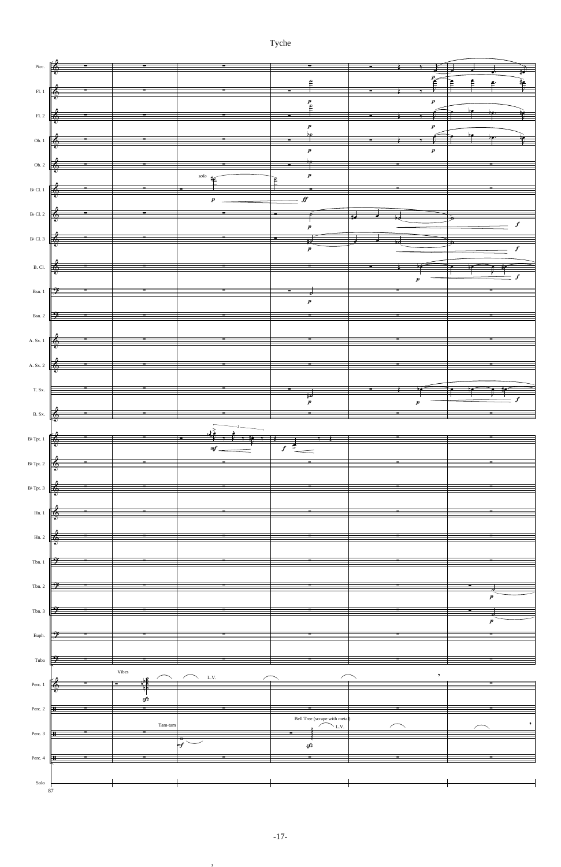*3*

![](_page_17_Figure_1.jpeg)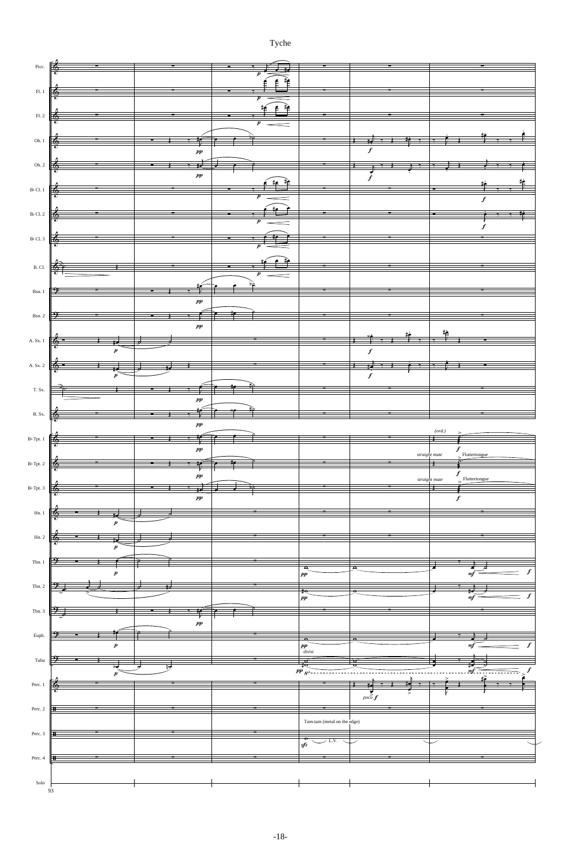![](_page_18_Figure_1.jpeg)

![](_page_18_Figure_0.jpeg)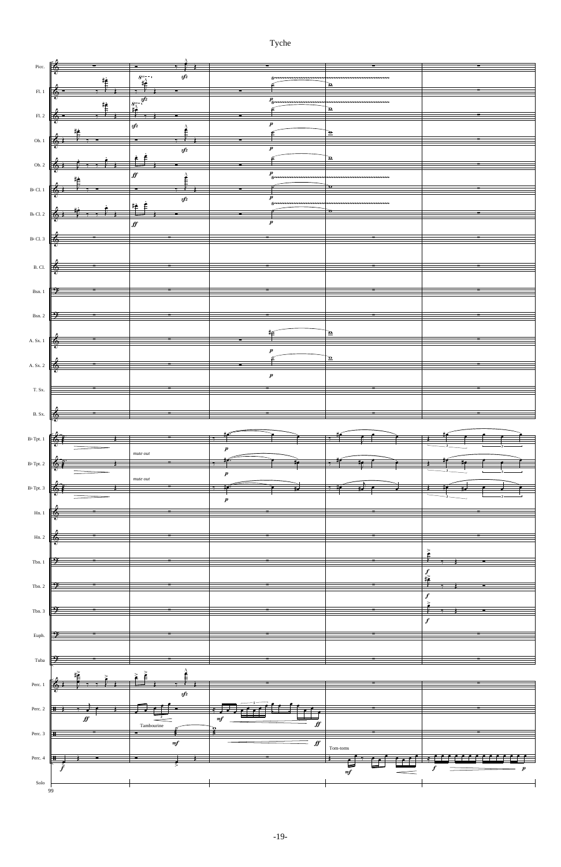| Picc.                            |                              |                                                                                                |               |                   |                      |                                 |                          |                                                                               |  |
|----------------------------------|------------------------------|------------------------------------------------------------------------------------------------|---------------|-------------------|----------------------|---------------------------------|--------------------------|-------------------------------------------------------------------------------|--|
|                                  |                              |                                                                                                | s f z         |                   |                      |                                 |                          |                                                                               |  |
|                                  | 艳                            | $\delta^{va--}_{\sharp\bigwedge^{\Lambda}_{++}}$                                               |               |                   |                      | $\alpha$                        |                          |                                                                               |  |
| $\rm Fl.$ $1$                    |                              |                                                                                                |               |                   |                      |                                 |                          |                                                                               |  |
|                                  |                              | $\begin{array}{c}\n-\frac{1}{\sqrt{3}}\\ \frac{1}{\sqrt{3}}\\ \frac{1}{\sqrt{3}}\n\end{array}$ |               |                   |                      |                                 |                          |                                                                               |  |
|                                  | 恈                            |                                                                                                |               |                   |                      |                                 |                          |                                                                               |  |
|                                  |                              |                                                                                                |               |                   |                      | $\boldsymbol{\Omega}$           |                          |                                                                               |  |
| $\mathop{\rm Fl.}\nolimits 2$    |                              |                                                                                                |               |                   |                      |                                 |                          |                                                                               |  |
|                                  |                              | $s\!f\!z$                                                                                      |               |                   | $\boldsymbol{p}$     |                                 |                          |                                                                               |  |
|                                  |                              |                                                                                                |               |                   |                      | $\overline{\bullet}$            |                          |                                                                               |  |
| Ob. 1                            | $\Phi$                       |                                                                                                |               |                   |                      |                                 |                          |                                                                               |  |
|                                  |                              |                                                                                                |               |                   | $\boldsymbol{p}$     |                                 |                          |                                                                               |  |
|                                  |                              |                                                                                                | $\it s\!f\!z$ |                   |                      |                                 |                          |                                                                               |  |
|                                  |                              |                                                                                                |               |                   |                      | $\alpha$                        |                          |                                                                               |  |
| Ob. $2$                          |                              |                                                                                                |               |                   |                      |                                 |                          |                                                                               |  |
|                                  |                              | $\pmb{\mathit{ff}}$                                                                            |               |                   | $\boldsymbol{p}$     |                                 |                          |                                                                               |  |
|                                  |                              |                                                                                                |               |                   |                      |                                 |                          |                                                                               |  |
| $\overline{\mathbf{B}}$ Cl. 1    |                              |                                                                                                |               |                   |                      |                                 |                          |                                                                               |  |
|                                  |                              |                                                                                                | $s\!f\!z$     |                   | $\boldsymbol{p}$     |                                 |                          |                                                                               |  |
|                                  |                              |                                                                                                |               |                   |                      |                                 |                          |                                                                               |  |
| $B \triangleright C l. 2$        |                              | 毕                                                                                              |               |                   |                      | $\mathbf o$                     |                          |                                                                               |  |
|                                  |                              |                                                                                                |               |                   |                      |                                 |                          |                                                                               |  |
|                                  |                              | $f\hspace{-0.1cm}f$                                                                            |               |                   | $\boldsymbol{p}$     |                                 |                          |                                                                               |  |
|                                  |                              |                                                                                                |               |                   |                      |                                 |                          |                                                                               |  |
| $\rm B \flat$ Cl. 3              | $\bigcirc$                   |                                                                                                |               |                   |                      |                                 |                          |                                                                               |  |
|                                  |                              |                                                                                                |               |                   |                      |                                 |                          |                                                                               |  |
|                                  |                              |                                                                                                |               |                   |                      |                                 |                          |                                                                               |  |
|                                  |                              |                                                                                                |               |                   |                      |                                 |                          |                                                                               |  |
| $\, {\bf B}.\, {\bf Cl}.\,$      | $\bigcirc$                   |                                                                                                |               |                   |                      |                                 |                          |                                                                               |  |
|                                  |                              |                                                                                                |               |                   |                      |                                 |                          |                                                                               |  |
|                                  |                              |                                                                                                |               |                   |                      |                                 |                          |                                                                               |  |
| Bsn. 1                           | P)                           |                                                                                                |               |                   |                      |                                 |                          |                                                                               |  |
|                                  |                              |                                                                                                |               |                   |                      |                                 |                          |                                                                               |  |
|                                  |                              |                                                                                                |               |                   |                      |                                 |                          |                                                                               |  |
|                                  |                              |                                                                                                |               |                   |                      |                                 |                          |                                                                               |  |
| Bsn. 2                           |                              |                                                                                                |               |                   |                      |                                 |                          |                                                                               |  |
|                                  |                              |                                                                                                |               |                   |                      |                                 |                          |                                                                               |  |
|                                  |                              |                                                                                                |               |                   | 艳                    | $\mathbf{\overline{e}}$         |                          |                                                                               |  |
| A. Sx. 1                         |                              |                                                                                                |               |                   |                      |                                 |                          |                                                                               |  |
|                                  | Ģ                            |                                                                                                |               |                   |                      |                                 |                          |                                                                               |  |
|                                  |                              |                                                                                                |               |                   | $\boldsymbol{p}$     |                                 |                          |                                                                               |  |
|                                  |                              |                                                                                                |               |                   |                      | $\alpha$                        |                          |                                                                               |  |
| A. Sx. 2                         | Ģ                            |                                                                                                |               |                   |                      |                                 |                          |                                                                               |  |
|                                  |                              |                                                                                                |               |                   | $\boldsymbol{p}$     |                                 |                          |                                                                               |  |
|                                  |                              |                                                                                                |               |                   |                      |                                 |                          |                                                                               |  |
| T. Sx.                           |                              |                                                                                                |               |                   |                      |                                 |                          |                                                                               |  |
|                                  |                              |                                                                                                |               |                   |                      |                                 |                          |                                                                               |  |
|                                  |                              |                                                                                                |               |                   |                      |                                 |                          |                                                                               |  |
|                                  |                              |                                                                                                |               |                   |                      |                                 |                          |                                                                               |  |
| $\frac{1}{2}$ B. Sx.             |                              |                                                                                                |               |                   |                      |                                 |                          |                                                                               |  |
|                                  |                              |                                                                                                |               |                   |                      |                                 |                          |                                                                               |  |
|                                  |                              |                                                                                                |               |                   |                      |                                 |                          |                                                                               |  |
|                                  | $B \rightarrow \text{Tr. 1}$ |                                                                                                |               |                   |                      | $\overline{\mathcal{C}}$        |                          | $\frac{1}{\sqrt{1-\frac{1}{2}}}\left(\frac{1}{\sqrt{1-\frac{1}{2}}}\right)^2$ |  |
|                                  |                              |                                                                                                |               |                   |                      |                                 |                          |                                                                               |  |
|                                  |                              | mute out                                                                                       |               | $\boldsymbol{p}$  |                      |                                 |                          |                                                                               |  |
|                                  |                              |                                                                                                |               | $\equiv$ $\equiv$ | $\frac{1}{2}$        |                                 |                          | $\overline{\mathcal{X}}$                                                      |  |
|                                  | $B \rightarrow \text{Tr. 2}$ |                                                                                                |               |                   |                      |                                 |                          |                                                                               |  |
|                                  |                              |                                                                                                |               | $\boldsymbol{p}$  |                      |                                 |                          |                                                                               |  |
|                                  |                              | mute out                                                                                       |               |                   |                      |                                 |                          |                                                                               |  |
|                                  |                              |                                                                                                |               |                   | $\overrightarrow{1}$ | $ \gamma\>$ if<br>$\rightarrow$ | $\overline{\phantom{a}}$ |                                                                               |  |
|                                  |                              |                                                                                                |               |                   |                      |                                 |                          |                                                                               |  |
|                                  |                              |                                                                                                |               | $\pmb{p}$         |                      |                                 |                          |                                                                               |  |
|                                  | Hn.1                         |                                                                                                |               |                   |                      |                                 |                          |                                                                               |  |
|                                  |                              |                                                                                                |               |                   |                      |                                 |                          |                                                                               |  |
|                                  |                              |                                                                                                |               |                   |                      |                                 |                          |                                                                               |  |
|                                  |                              |                                                                                                |               |                   |                      |                                 |                          |                                                                               |  |
| Hn.2                             |                              |                                                                                                |               |                   |                      |                                 |                          |                                                                               |  |
|                                  |                              |                                                                                                |               |                   |                      |                                 |                          |                                                                               |  |
|                                  |                              |                                                                                                |               |                   |                      |                                 |                          |                                                                               |  |
| Tbn. 1 $\boxed{2^{\frac{1}{2}}}$ |                              |                                                                                                |               |                   |                      |                                 |                          |                                                                               |  |
|                                  |                              |                                                                                                |               |                   |                      |                                 |                          |                                                                               |  |
|                                  |                              |                                                                                                |               |                   |                      |                                 |                          |                                                                               |  |
|                                  |                              |                                                                                                |               |                   |                      |                                 |                          | ナ冷戦                                                                           |  |
| Tbn. 2 $\boxed{2^2}$             |                              |                                                                                                |               |                   |                      |                                 |                          |                                                                               |  |
|                                  |                              |                                                                                                |               |                   |                      |                                 |                          |                                                                               |  |
|                                  |                              |                                                                                                |               |                   |                      |                                 |                          |                                                                               |  |
| Tbn. $3$                         | D:                           |                                                                                                |               |                   |                      |                                 |                          |                                                                               |  |
|                                  |                              |                                                                                                |               |                   |                      |                                 |                          |                                                                               |  |
|                                  |                              |                                                                                                |               |                   |                      |                                 |                          | f                                                                             |  |
|                                  |                              |                                                                                                |               |                   |                      |                                 |                          |                                                                               |  |
|                                  | Ð.                           |                                                                                                |               |                   |                      |                                 |                          |                                                                               |  |

![](_page_19_Figure_2.jpeg)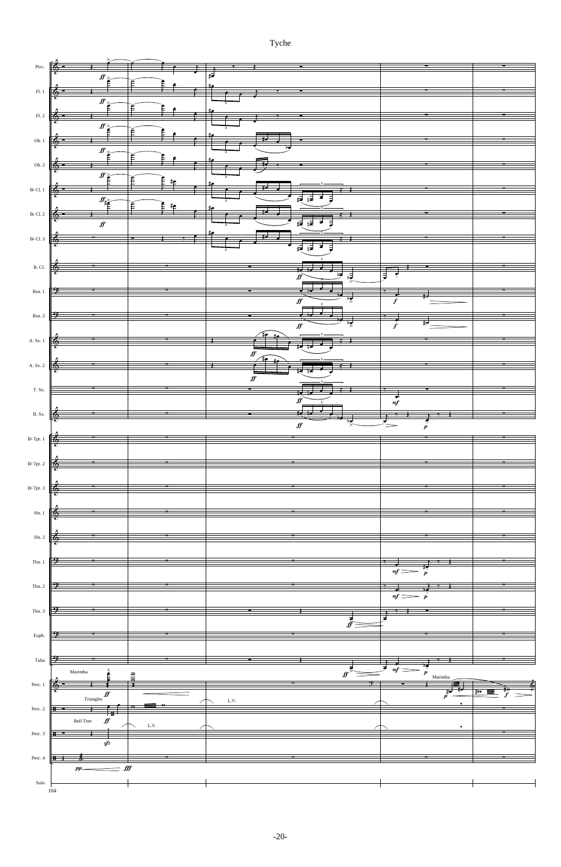![](_page_20_Figure_1.jpeg)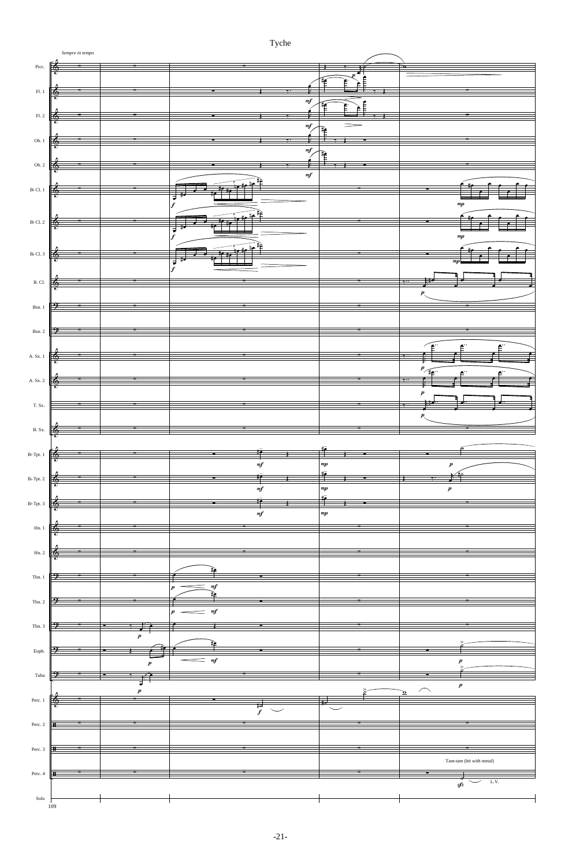![](_page_21_Figure_0.jpeg)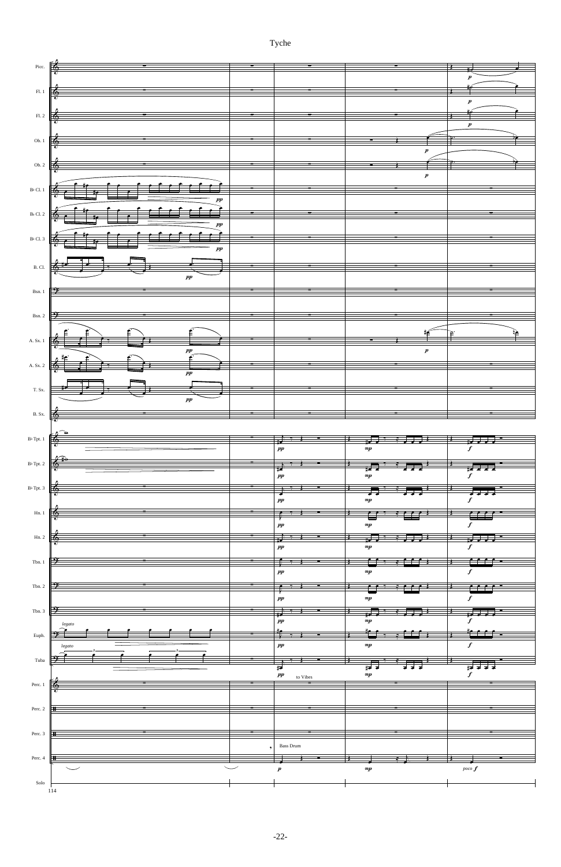![](_page_22_Figure_1.jpeg)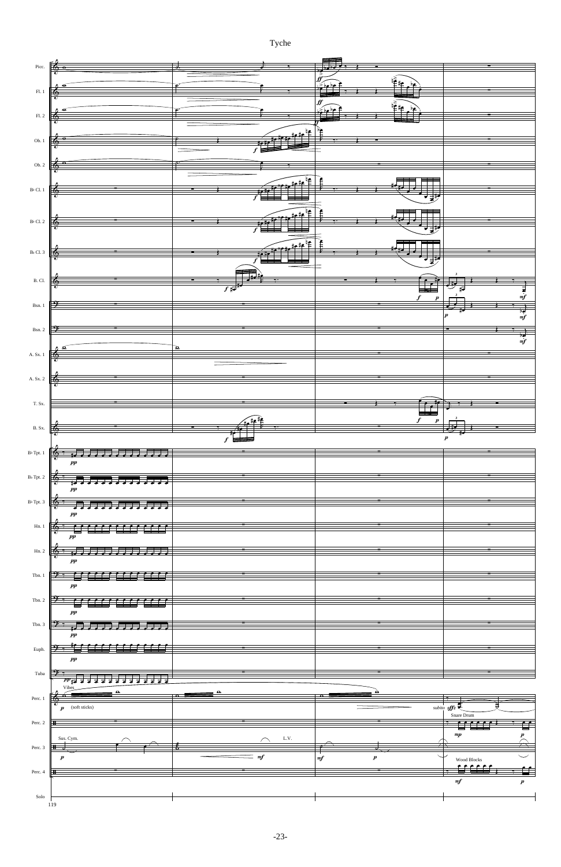![](_page_23_Figure_1.jpeg)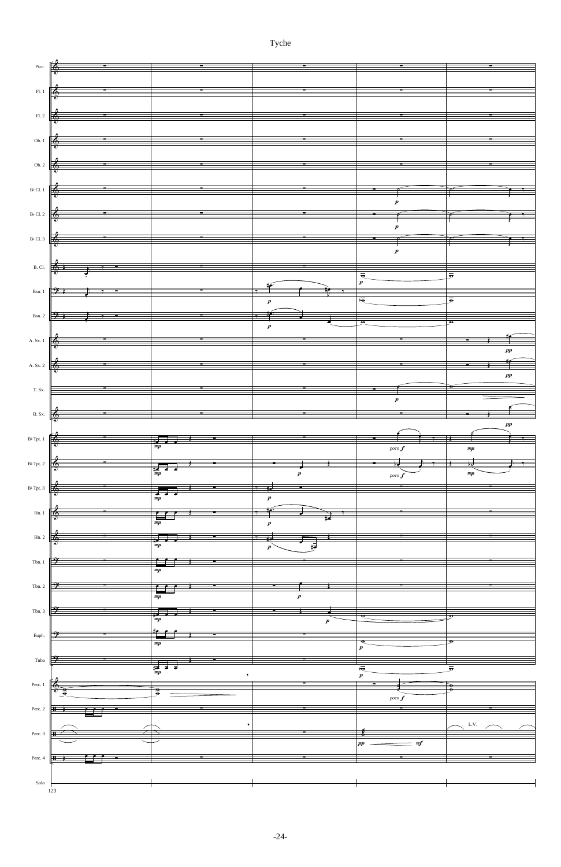![](_page_24_Figure_1.jpeg)

![](_page_24_Figure_0.jpeg)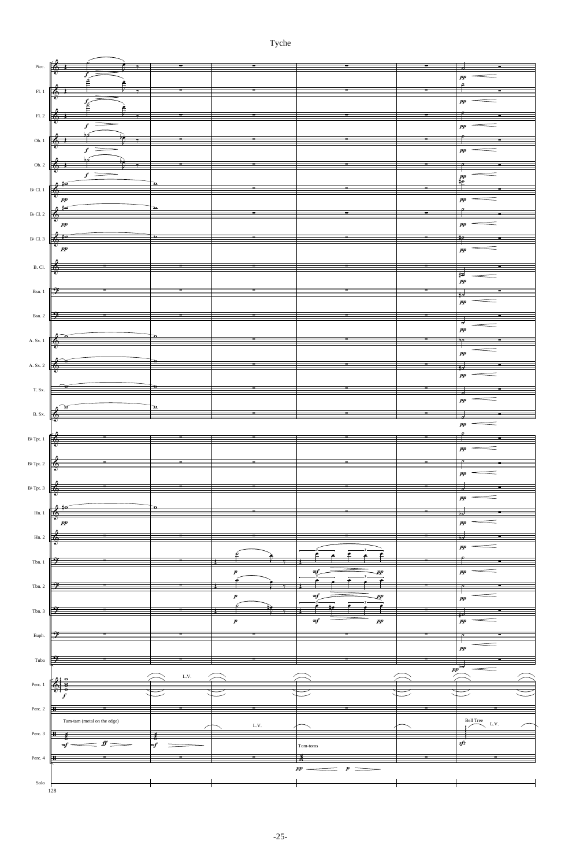![](_page_25_Figure_1.jpeg)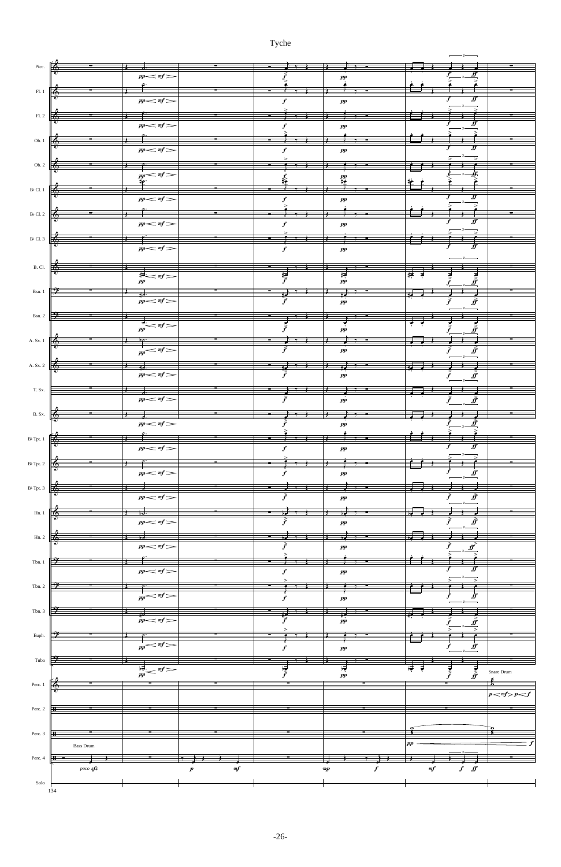![](_page_26_Figure_1.jpeg)

|--|